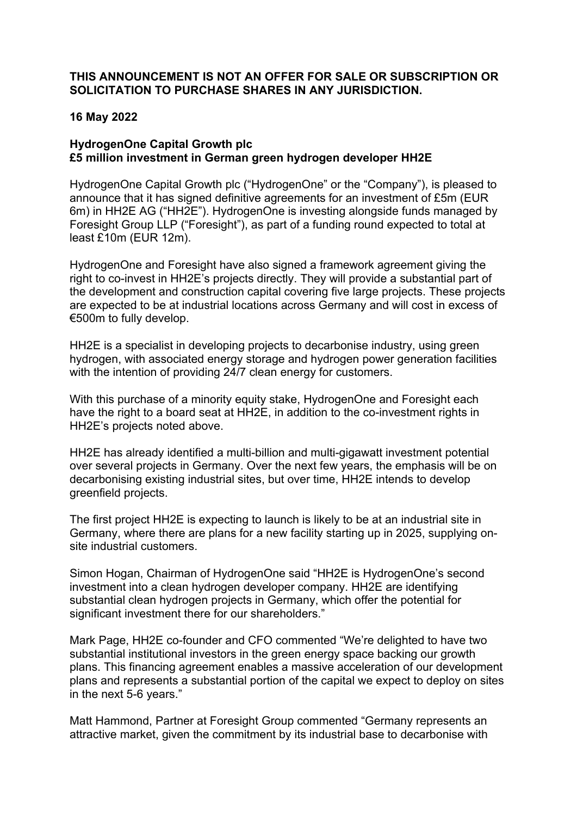### **THIS ANNOUNCEMENT IS NOT AN OFFER FOR SALE OR SUBSCRIPTION OR SOLICITATION TO PURCHASE SHARES IN ANY JURISDICTION.**

### **16 May 2022**

# **HydrogenOne Capital Growth plc £5 million investment in German green hydrogen developer HH2E**

HydrogenOne Capital Growth plc ("HydrogenOne" or the "Company"), is pleased to announce that it has signed definitive agreements for an investment of £5m (EUR 6m) in HH2E AG ("HH2E"). HydrogenOne is investing alongside funds managed by Foresight Group LLP ("Foresight"), as part of a funding round expected to total at least £10m (EUR 12m).

HydrogenOne and Foresight have also signed a framework agreement giving the right to co-invest in HH2E's projects directly. They will provide a substantial part of the development and construction capital covering five large projects. These projects are expected to be at industrial locations across Germany and will cost in excess of €500m to fully develop.

HH2E is a specialist in developing projects to decarbonise industry, using green hydrogen, with associated energy storage and hydrogen power generation facilities with the intention of providing 24/7 clean energy for customers.

With this purchase of a minority equity stake, HydrogenOne and Foresight each have the right to a board seat at HH2E, in addition to the co-investment rights in HH2E's projects noted above.

HH2E has already identified a multi-billion and multi-gigawatt investment potential over several projects in Germany. Over the next few years, the emphasis will be on decarbonising existing industrial sites, but over time, HH2E intends to develop greenfield projects.

The first project HH2E is expecting to launch is likely to be at an industrial site in Germany, where there are plans for a new facility starting up in 2025, supplying onsite industrial customers.

Simon Hogan, Chairman of HydrogenOne said "HH2E is HydrogenOne's second investment into a clean hydrogen developer company. HH2E are identifying substantial clean hydrogen projects in Germany, which offer the potential for significant investment there for our shareholders."

Mark Page, HH2E co-founder and CFO commented "We're delighted to have two substantial institutional investors in the green energy space backing our growth plans. This financing agreement enables a massive acceleration of our development plans and represents a substantial portion of the capital we expect to deploy on sites in the next 5-6 years."

Matt Hammond, Partner at Foresight Group commented "Germany represents an attractive market, given the commitment by its industrial base to decarbonise with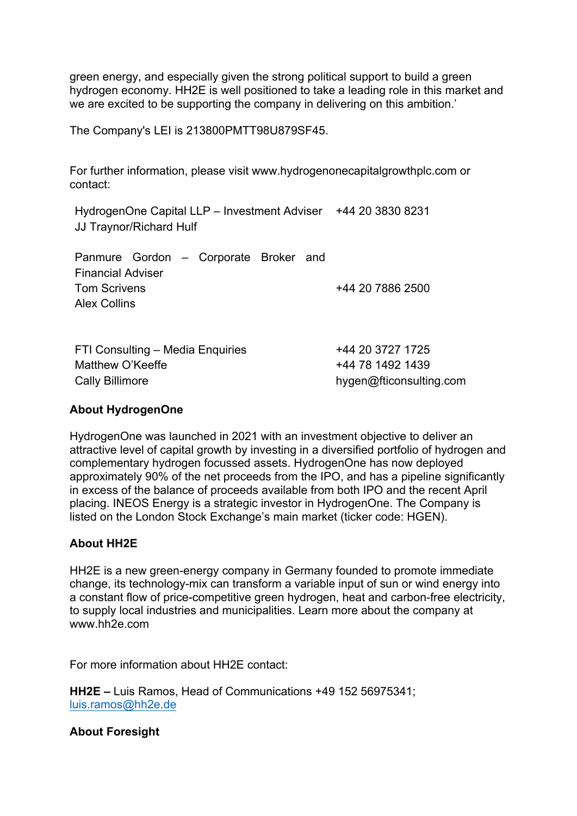green energy, and especially given the strong political support to build a green hydrogen economy. HH2E is well positioned to take a leading role in this market and we are excited to be supporting the company in delivering on this ambition.'

The Company's LEI is 213800PMTT98U879SF45.

For further information, please visit www.hydrogenonecapitalgrowthplc.com or contact:

HydrogenOne Capital LLP – Investment Adviser +44 20 3830 8231 JJ Traynor/Richard Hulf

|                          |  |  | Panmure Gordon - Corporate Broker and |  |  |                  |
|--------------------------|--|--|---------------------------------------|--|--|------------------|
| <b>Financial Adviser</b> |  |  |                                       |  |  |                  |
| <b>Tom Scrivens</b>      |  |  |                                       |  |  | +44 20 7886 2500 |
| <b>Alex Collins</b>      |  |  |                                       |  |  |                  |

| FTI Consulting – Media Enquiries | +44 20 3727 1725        |
|----------------------------------|-------------------------|
| Matthew O'Keeffe                 | +44 78 1492 1439        |
| Cally Billimore                  | hygen@fticonsulting.com |

#### **About HydrogenOne**

HydrogenOne was launched in 2021 with an investment objective to deliver an attractive level of capital growth by investing in a diversified portfolio of hydrogen and complementary hydrogen focussed assets. HydrogenOne has now deployed approximately 90% of the net proceeds from the IPO, and has a pipeline significantly in excess of the balance of proceeds available from both IPO and the recent April placing. INEOS Energy is a strategic investor in HydrogenOne. The Company is listed on the London Stock Exchange's main market (ticker code: HGEN).

### **About HH2E**

HH2E is a new green-energy company in Germany founded to promote immediate change, its technology-mix can transform a variable input of sun or wind energy into a constant flow of price-competitive green hydrogen, heat and carbon-free electricity, to supply local industries and municipalities. Learn more about the company at www.hh2e.com

For more information about HH2E contact:

**HH2E –** Luis Ramos, Head of Communications +49 152 56975341; luis.ramos@hh2e.de

**About Foresight**